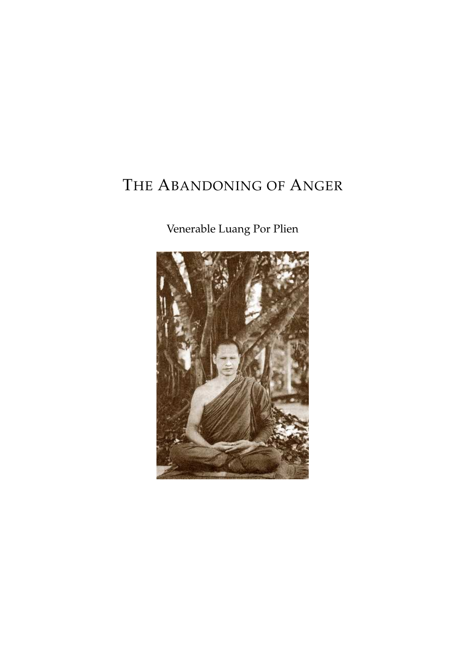## THE ABANDONING OF ANGER

## Venerable Luang Por Plien

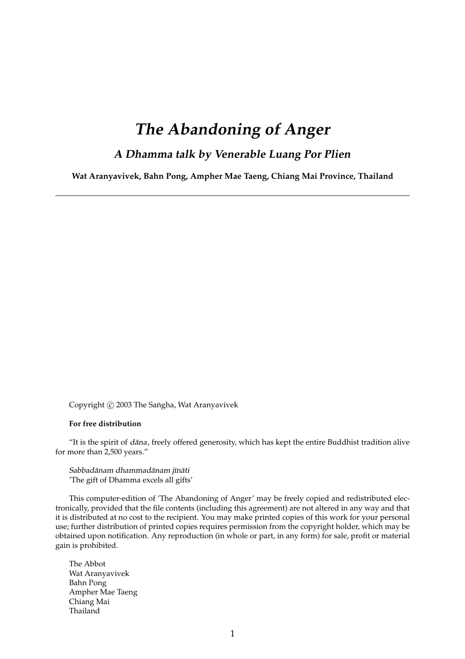### **The Abandoning of Anger**

### **<sup>A</sup> Dhamma talk by Venerable Luang Por Plien**

**Wat Aranyavivek, Bahn Pong, Ampher Mae Taeng, Chiang Mai Province, Thailand**

Copyright  $\odot$  2003 The Sangha, Wat Aranyavivek

#### **For free distribution**

"It is the spirit of dāna, freely offered generosity, which has kept the entire Buddhist tradition alive for more than 2,500 years."

Sabbadānam dhammadānam jīnāti 'The gift of Dhamma excels all gifts'

This computer-edition of 'The Abandoning of Anger' may be freely copied and redistributed electronically, provided that the file contents (including this agreement) are not altered in any way and that it is distributed at no cost to the recipient. You may make printed copies of this work for your personal use; further distribution of printed copies requires permission from the copyright holder, which may be obtained upon notification. Any reproduction (in whole or part, in any form) for sale, profit or material gain is prohibited.

The Abbot Wat Aranyavivek Bahn Pong Ampher Mae Taeng Chiang Mai Thailand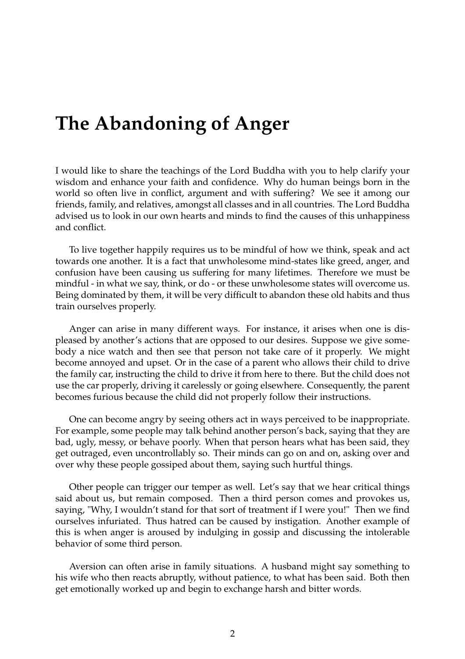# **The Abandoning of Anger**

I would like to share the teachings of the Lord Buddha with you to help clarify your wisdom and enhance your faith and confidence. Why do human beings born in the world so often live in conflict, argument and with suffering? We see it among our friends, family, and relatives, amongst all classes and in all countries. The Lord Buddha advised us to look in our own hearts and minds to find the causes of this unhappiness and conflict.

To live together happily requires us to be mindful of how we think, speak and act towards one another. It is a fact that unwholesome mind-states like greed, anger, and confusion have been causing us suffering for many lifetimes. Therefore we must be mindful - in what we say, think, or do - or these unwholesome states will overcome us. Being dominated by them, it will be very difficult to abandon these old habits and thus train ourselves properly.

Anger can arise in many different ways. For instance, it arises when one is displeased by another's actions that are opposed to our desires. Suppose we give somebody a nice watch and then see that person not take care of it properly. We might become annoyed and upset. Or in the case of a parent who allows their child to drive the family car, instructing the child to drive it from here to there. But the child does not use the car properly, driving it carelessly or going elsewhere. Consequently, the parent becomes furious because the child did not properly follow their instructions.

One can become angry by seeing others act in ways perceived to be inappropriate. For example, some people may talk behind another person's back, saying that they are bad, ugly, messy, or behave poorly. When that person hears what has been said, they get outraged, even uncontrollably so. Their minds can go on and on, asking over and over why these people gossiped about them, saying such hurtful things.

Other people can trigger our temper as well. Let's say that we hear critical things said about us, but remain composed. Then a third person comes and provokes us, saying, "Why, I wouldn't stand for that sort of treatment if I were you!" Then we find ourselves infuriated. Thus hatred can be caused by instigation. Another example of this is when anger is aroused by indulging in gossip and discussing the intolerable behavior of some third person.

Aversion can often arise in family situations. A husband might say something to his wife who then reacts abruptly, without patience, to what has been said. Both then get emotionally worked up and begin to exchange harsh and bitter words.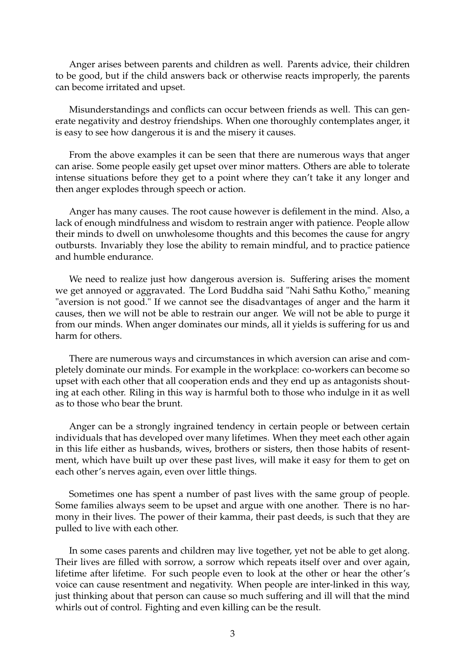Anger arises between parents and children as well. Parents advice, their children to be good, but if the child answers back or otherwise reacts improperly, the parents can become irritated and upset.

Misunderstandings and conflicts can occur between friends as well. This can generate negativity and destroy friendships. When one thoroughly contemplates anger, it is easy to see how dangerous it is and the misery it causes.

From the above examples it can be seen that there are numerous ways that anger can arise. Some people easily get upset over minor matters. Others are able to tolerate intense situations before they get to a point where they can't take it any longer and then anger explodes through speech or action.

Anger has many causes. The root cause however is defilement in the mind. Also, a lack of enough mindfulness and wisdom to restrain anger with patience. People allow their minds to dwell on unwholesome thoughts and this becomes the cause for angry outbursts. Invariably they lose the ability to remain mindful, and to practice patience and humble endurance.

We need to realize just how dangerous aversion is. Suffering arises the moment we get annoyed or aggravated. The Lord Buddha said "Nahi Sathu Kotho," meaning "aversion is not good." If we cannot see the disadvantages of anger and the harm it causes, then we will not be able to restrain our anger. We will not be able to purge it from our minds. When anger dominates our minds, all it yields is suffering for us and harm for others.

There are numerous ways and circumstances in which aversion can arise and completely dominate our minds. For example in the workplace: co-workers can become so upset with each other that all cooperation ends and they end up as antagonists shouting at each other. Riling in this way is harmful both to those who indulge in it as well as to those who bear the brunt.

Anger can be a strongly ingrained tendency in certain people or between certain individuals that has developed over many lifetimes. When they meet each other again in this life either as husbands, wives, brothers or sisters, then those habits of resentment, which have built up over these past lives, will make it easy for them to get on each other's nerves again, even over little things.

Sometimes one has spent a number of past lives with the same group of people. Some families always seem to be upset and argue with one another. There is no harmony in their lives. The power of their kamma, their past deeds, is such that they are pulled to live with each other.

In some cases parents and children may live together, yet not be able to get along. Their lives are filled with sorrow, a sorrow which repeats itself over and over again, lifetime after lifetime. For such people even to look at the other or hear the other's voice can cause resentment and negativity. When people are inter-linked in this way, just thinking about that person can cause so much suffering and ill will that the mind whirls out of control. Fighting and even killing can be the result.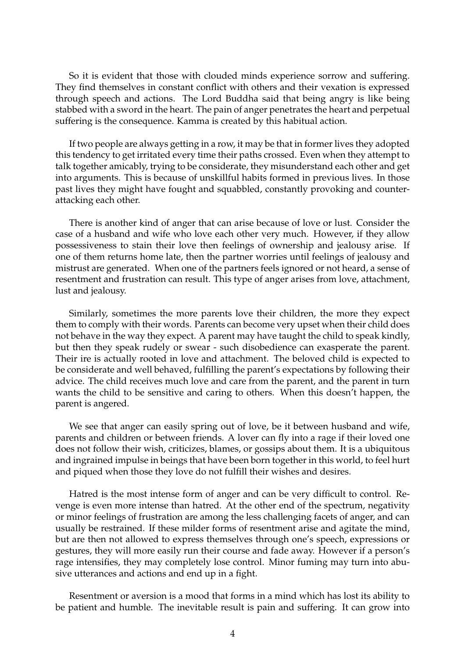So it is evident that those with clouded minds experience sorrow and suffering. They find themselves in constant conflict with others and their vexation is expressed through speech and actions. The Lord Buddha said that being angry is like being stabbed with a sword in the heart. The pain of anger penetrates the heart and perpetual suffering is the consequence. Kamma is created by this habitual action.

If two people are always getting in a row, it may be that in former lives they adopted this tendency to get irritated every time their paths crossed. Even when they attempt to talk together amicably, trying to be considerate, they misunderstand each other and get into arguments. This is because of unskillful habits formed in previous lives. In those past lives they might have fought and squabbled, constantly provoking and counterattacking each other.

There is another kind of anger that can arise because of love or lust. Consider the case of a husband and wife who love each other very much. However, if they allow possessiveness to stain their love then feelings of ownership and jealousy arise. If one of them returns home late, then the partner worries until feelings of jealousy and mistrust are generated. When one of the partners feels ignored or not heard, a sense of resentment and frustration can result. This type of anger arises from love, attachment, lust and jealousy.

Similarly, sometimes the more parents love their children, the more they expect them to comply with their words. Parents can become very upset when their child does not behave in the way they expect. A parent may have taught the child to speak kindly, but then they speak rudely or swear - such disobedience can exasperate the parent. Their ire is actually rooted in love and attachment. The beloved child is expected to be considerate and well behaved, fulfilling the parent's expectations by following their advice. The child receives much love and care from the parent, and the parent in turn wants the child to be sensitive and caring to others. When this doesn't happen, the parent is angered.

We see that anger can easily spring out of love, be it between husband and wife, parents and children or between friends. A lover can fly into a rage if their loved one does not follow their wish, criticizes, blames, or gossips about them. It is a ubiquitous and ingrained impulse in beings that have been born together in this world, to feel hurt and piqued when those they love do not fulfill their wishes and desires.

Hatred is the most intense form of anger and can be very difficult to control. Revenge is even more intense than hatred. At the other end of the spectrum, negativity or minor feelings of frustration are among the less challenging facets of anger, and can usually be restrained. If these milder forms of resentment arise and agitate the mind, but are then not allowed to express themselves through one's speech, expressions or gestures, they will more easily run their course and fade away. However if a person's rage intensifies, they may completely lose control. Minor fuming may turn into abusive utterances and actions and end up in a fight.

Resentment or aversion is a mood that forms in a mind which has lost its ability to be patient and humble. The inevitable result is pain and suffering. It can grow into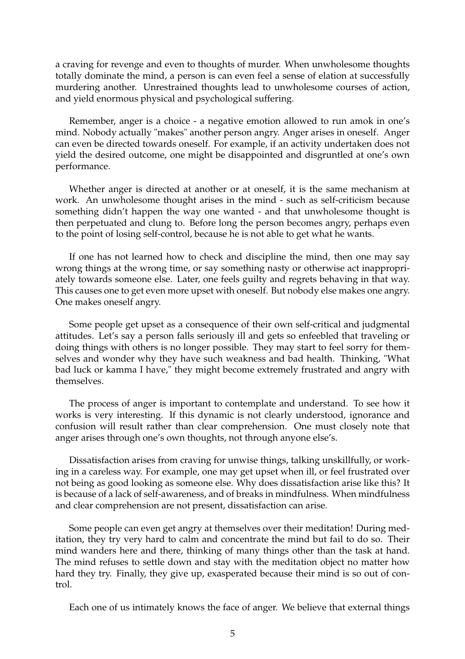a craving for revenge and even to thoughts of murder. When unwholesome thoughts totally dominate the mind, a person is can even feel a sense of elation at successfully murdering another. Unrestrained thoughts lead to unwholesome courses of action, and yield enormous physical and psychological suffering.

Remember, anger is a choice - a negative emotion allowed to run amok in one's mind. Nobody actually "makes" another person angry. Anger arises in oneself. Anger can even be directed towards oneself. For example, if an activity undertaken does not yield the desired outcome, one might be disappointed and disgruntled at one's own performance.

Whether anger is directed at another or at oneself, it is the same mechanism at work. An unwholesome thought arises in the mind - such as self-criticism because something didn't happen the way one wanted - and that unwholesome thought is then perpetuated and clung to. Before long the person becomes angry, perhaps even to the point of losing self-control, because he is not able to get what he wants.

If one has not learned how to check and discipline the mind, then one may say wrong things at the wrong time, or say something nasty or otherwise act inappropriately towards someone else. Later, one feels guilty and regrets behaving in that way. This causes one to get even more upset with oneself. But nobody else makes one angry. One makes oneself angry.

Some people get upset as a consequence of their own self-critical and judgmental attitudes. Let's say a person falls seriously ill and gets so enfeebled that traveling or doing things with others is no longer possible. They may start to feel sorry for themselves and wonder why they have such weakness and bad health. Thinking, "What bad luck or kamma I have," they might become extremely frustrated and angry with themselves.

The process of anger is important to contemplate and understand. To see how it works is very interesting. If this dynamic is not clearly understood, ignorance and confusion will result rather than clear comprehension. One must closely note that anger arises through one's own thoughts, not through anyone else's.

Dissatisfaction arises from craving for unwise things, talking unskillfully, or working in a careless way. For example, one may get upset when ill, or feel frustrated over not being as good looking as someone else. Why does dissatisfaction arise like this? It is because of a lack of self-awareness, and of breaks in mindfulness. When mindfulness and clear comprehension are not present, dissatisfaction can arise.

Some people can even get angry at themselves over their meditation! During meditation, they try very hard to calm and concentrate the mind but fail to do so. Their mind wanders here and there, thinking of many things other than the task at hand. The mind refuses to settle down and stay with the meditation object no matter how hard they try. Finally, they give up, exasperated because their mind is so out of control.

Each one of us intimately knows the face of anger. We believe that external things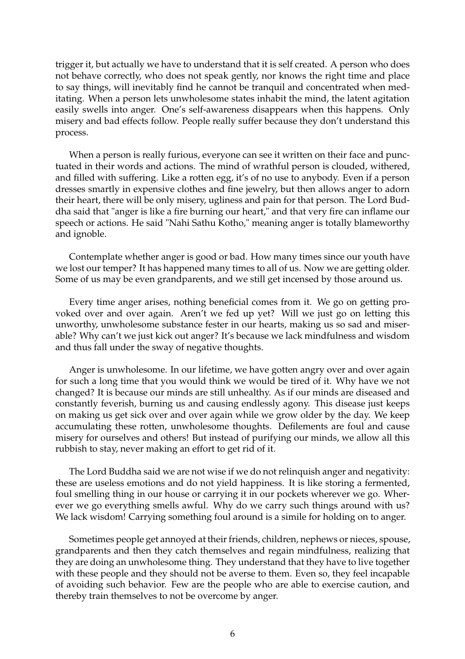trigger it, but actually we have to understand that it is self created. A person who does not behave correctly, who does not speak gently, nor knows the right time and place to say things, will inevitably find he cannot be tranquil and concentrated when meditating. When a person lets unwholesome states inhabit the mind, the latent agitation easily swells into anger. One's self-awareness disappears when this happens. Only misery and bad effects follow. People really suffer because they don't understand this process.

When a person is really furious, everyone can see it written on their face and punctuated in their words and actions. The mind of wrathful person is clouded, withered, and filled with suffering. Like a rotten egg, it's of no use to anybody. Even if a person dresses smartly in expensive clothes and fine jewelry, but then allows anger to adorn their heart, there will be only misery, ugliness and pain for that person. The Lord Buddha said that "anger is like a fire burning our heart," and that very fire can inflame our speech or actions. He said "Nahi Sathu Kotho," meaning anger is totally blameworthy and ignoble.

Contemplate whether anger is good or bad. How many times since our youth have we lost our temper? It has happened many times to all of us. Now we are getting older. Some of us may be even grandparents, and we still get incensed by those around us.

Every time anger arises, nothing beneficial comes from it. We go on getting provoked over and over again. Aren't we fed up yet? Will we just go on letting this unworthy, unwholesome substance fester in our hearts, making us so sad and miserable? Why can't we just kick out anger? It's because we lack mindfulness and wisdom and thus fall under the sway of negative thoughts.

Anger is unwholesome. In our lifetime, we have gotten angry over and over again for such a long time that you would think we would be tired of it. Why have we not changed? It is because our minds are still unhealthy. As if our minds are diseased and constantly feverish, burning us and causing endlessly agony. This disease just keeps on making us get sick over and over again while we grow older by the day. We keep accumulating these rotten, unwholesome thoughts. Defilements are foul and cause misery for ourselves and others! But instead of purifying our minds, we allow all this rubbish to stay, never making an effort to get rid of it.

The Lord Buddha said we are not wise if we do not relinquish anger and negativity: these are useless emotions and do not yield happiness. It is like storing a fermented, foul smelling thing in our house or carrying it in our pockets wherever we go. Wherever we go everything smells awful. Why do we carry such things around with us? We lack wisdom! Carrying something foul around is a simile for holding on to anger.

Sometimes people get annoyed at their friends, children, nephews or nieces, spouse, grandparents and then they catch themselves and regain mindfulness, realizing that they are doing an unwholesome thing. They understand that they have to live together with these people and they should not be averse to them. Even so, they feel incapable of avoiding such behavior. Few are the people who are able to exercise caution, and thereby train themselves to not be overcome by anger.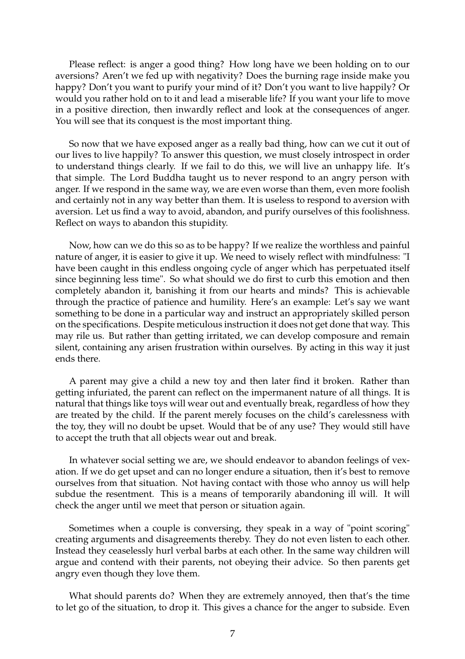Please reflect: is anger a good thing? How long have we been holding on to our aversions? Aren't we fed up with negativity? Does the burning rage inside make you happy? Don't you want to purify your mind of it? Don't you want to live happily? Or would you rather hold on to it and lead a miserable life? If you want your life to move in a positive direction, then inwardly reflect and look at the consequences of anger. You will see that its conquest is the most important thing.

So now that we have exposed anger as a really bad thing, how can we cut it out of our lives to live happily? To answer this question, we must closely introspect in order to understand things clearly. If we fail to do this, we will live an unhappy life. It's that simple. The Lord Buddha taught us to never respond to an angry person with anger. If we respond in the same way, we are even worse than them, even more foolish and certainly not in any way better than them. It is useless to respond to aversion with aversion. Let us find a way to avoid, abandon, and purify ourselves of this foolishness. Reflect on ways to abandon this stupidity.

Now, how can we do this so as to be happy? If we realize the worthless and painful nature of anger, it is easier to give it up. We need to wisely reflect with mindfulness: "I have been caught in this endless ongoing cycle of anger which has perpetuated itself since beginning less time". So what should we do first to curb this emotion and then completely abandon it, banishing it from our hearts and minds? This is achievable through the practice of patience and humility. Here's an example: Let's say we want something to be done in a particular way and instruct an appropriately skilled person on the specifications. Despite meticulous instruction it does not get done that way. This may rile us. But rather than getting irritated, we can develop composure and remain silent, containing any arisen frustration within ourselves. By acting in this way it just ends there.

A parent may give a child a new toy and then later find it broken. Rather than getting infuriated, the parent can reflect on the impermanent nature of all things. It is natural that things like toys will wear out and eventually break, regardless of how they are treated by the child. If the parent merely focuses on the child's carelessness with the toy, they will no doubt be upset. Would that be of any use? They would still have to accept the truth that all objects wear out and break.

In whatever social setting we are, we should endeavor to abandon feelings of vexation. If we do get upset and can no longer endure a situation, then it's best to remove ourselves from that situation. Not having contact with those who annoy us will help subdue the resentment. This is a means of temporarily abandoning ill will. It will check the anger until we meet that person or situation again.

Sometimes when a couple is conversing, they speak in a way of "point scoring" creating arguments and disagreements thereby. They do not even listen to each other. Instead they ceaselessly hurl verbal barbs at each other. In the same way children will argue and contend with their parents, not obeying their advice. So then parents get angry even though they love them.

What should parents do? When they are extremely annoyed, then that's the time to let go of the situation, to drop it. This gives a chance for the anger to subside. Even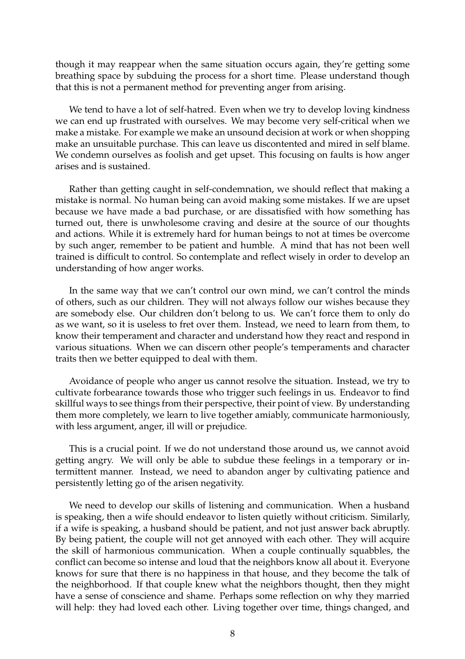though it may reappear when the same situation occurs again, they're getting some breathing space by subduing the process for a short time. Please understand though that this is not a permanent method for preventing anger from arising.

We tend to have a lot of self-hatred. Even when we try to develop loving kindness we can end up frustrated with ourselves. We may become very self-critical when we make a mistake. For example we make an unsound decision at work or when shopping make an unsuitable purchase. This can leave us discontented and mired in self blame. We condemn ourselves as foolish and get upset. This focusing on faults is how anger arises and is sustained.

Rather than getting caught in self-condemnation, we should reflect that making a mistake is normal. No human being can avoid making some mistakes. If we are upset because we have made a bad purchase, or are dissatisfied with how something has turned out, there is unwholesome craving and desire at the source of our thoughts and actions. While it is extremely hard for human beings to not at times be overcome by such anger, remember to be patient and humble. A mind that has not been well trained is difficult to control. So contemplate and reflect wisely in order to develop an understanding of how anger works.

In the same way that we can't control our own mind, we can't control the minds of others, such as our children. They will not always follow our wishes because they are somebody else. Our children don't belong to us. We can't force them to only do as we want, so it is useless to fret over them. Instead, we need to learn from them, to know their temperament and character and understand how they react and respond in various situations. When we can discern other people's temperaments and character traits then we better equipped to deal with them.

Avoidance of people who anger us cannot resolve the situation. Instead, we try to cultivate forbearance towards those who trigger such feelings in us. Endeavor to find skillful ways to see things from their perspective, their point of view. By understanding them more completely, we learn to live together amiably, communicate harmoniously, with less argument, anger, ill will or prejudice.

This is a crucial point. If we do not understand those around us, we cannot avoid getting angry. We will only be able to subdue these feelings in a temporary or intermittent manner. Instead, we need to abandon anger by cultivating patience and persistently letting go of the arisen negativity.

We need to develop our skills of listening and communication. When a husband is speaking, then a wife should endeavor to listen quietly without criticism. Similarly, if a wife is speaking, a husband should be patient, and not just answer back abruptly. By being patient, the couple will not get annoyed with each other. They will acquire the skill of harmonious communication. When a couple continually squabbles, the conflict can become so intense and loud that the neighbors know all about it. Everyone knows for sure that there is no happiness in that house, and they become the talk of the neighborhood. If that couple knew what the neighbors thought, then they might have a sense of conscience and shame. Perhaps some reflection on why they married will help: they had loved each other. Living together over time, things changed, and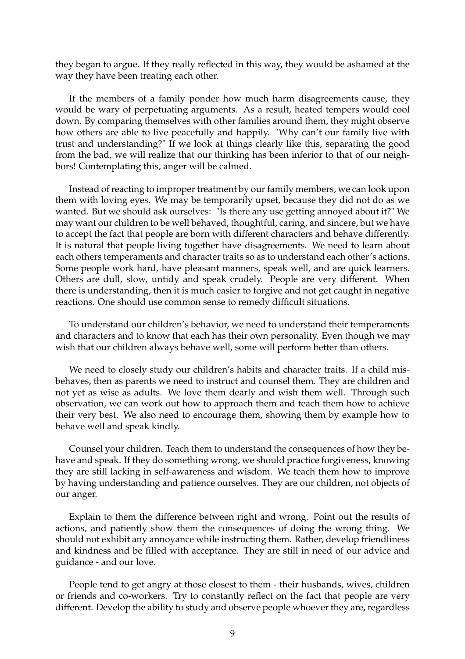they began to argue. If they really reflected in this way, they would be ashamed at the way they have been treating each other.

If the members of a family ponder how much harm disagreements cause, they would be wary of perpetuating arguments. As a result, heated tempers would cool down. By comparing themselves with other families around them, they might observe how others are able to live peacefully and happily. "Why can't our family live with trust and understanding?" If we look at things clearly like this, separating the good from the bad, we will realize that our thinking has been inferior to that of our neighbors! Contemplating this, anger will be calmed.

Instead of reacting to improper treatment by our family members, we can look upon them with loving eyes. We may be temporarily upset, because they did not do as we wanted. But we should ask ourselves: "Is there any use getting annoyed about it?" We may want our children to be well behaved, thoughtful, caring, and sincere, but we have to accept the fact that people are born with different characters and behave differently. It is natural that people living together have disagreements. We need to learn about each others temperaments and character traits so as to understand each other's actions. Some people work hard, have pleasant manners, speak well, and are quick learners. Others are dull, slow, untidy and speak crudely. People are very different. When there is understanding, then it is much easier to forgive and not get caught in negative reactions. One should use common sense to remedy difficult situations.

To understand our children's behavior, we need to understand their temperaments and characters and to know that each has their own personality. Even though we may wish that our children always behave well, some will perform better than others.

We need to closely study our children's habits and character traits. If a child misbehaves, then as parents we need to instruct and counsel them. They are children and not yet as wise as adults. We love them dearly and wish them well. Through such observation, we can work out how to approach them and teach them how to achieve their very best. We also need to encourage them, showing them by example how to behave well and speak kindly.

Counsel your children. Teach them to understand the consequences of how they behave and speak. If they do something wrong, we should practice forgiveness, knowing they are still lacking in self-awareness and wisdom. We teach them how to improve by having understanding and patience ourselves. They are our children, not objects of our anger.

Explain to them the difference between right and wrong. Point out the results of actions, and patiently show them the consequences of doing the wrong thing. We should not exhibit any annoyance while instructing them. Rather, develop friendliness and kindness and be filled with acceptance. They are still in need of our advice and guidance - and our love.

People tend to get angry at those closest to them - their husbands, wives, children or friends and co-workers. Try to constantly reflect on the fact that people are very different. Develop the ability to study and observe people whoever they are, regardless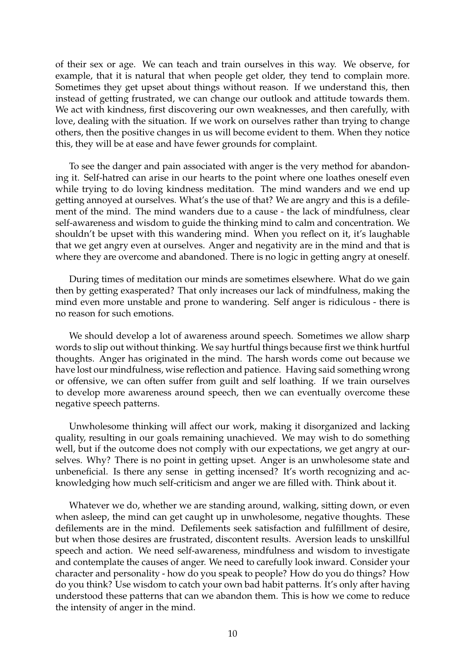of their sex or age. We can teach and train ourselves in this way. We observe, for example, that it is natural that when people get older, they tend to complain more. Sometimes they get upset about things without reason. If we understand this, then instead of getting frustrated, we can change our outlook and attitude towards them. We act with kindness, first discovering our own weaknesses, and then carefully, with love, dealing with the situation. If we work on ourselves rather than trying to change others, then the positive changes in us will become evident to them. When they notice this, they will be at ease and have fewer grounds for complaint.

To see the danger and pain associated with anger is the very method for abandoning it. Self-hatred can arise in our hearts to the point where one loathes oneself even while trying to do loving kindness meditation. The mind wanders and we end up getting annoyed at ourselves. What's the use of that? We are angry and this is a defilement of the mind. The mind wanders due to a cause - the lack of mindfulness, clear self-awareness and wisdom to guide the thinking mind to calm and concentration. We shouldn't be upset with this wandering mind. When you reflect on it, it's laughable that we get angry even at ourselves. Anger and negativity are in the mind and that is where they are overcome and abandoned. There is no logic in getting angry at oneself.

During times of meditation our minds are sometimes elsewhere. What do we gain then by getting exasperated? That only increases our lack of mindfulness, making the mind even more unstable and prone to wandering. Self anger is ridiculous - there is no reason for such emotions.

We should develop a lot of awareness around speech. Sometimes we allow sharp words to slip out without thinking. We say hurtful things because first we think hurtful thoughts. Anger has originated in the mind. The harsh words come out because we have lost our mindfulness, wise reflection and patience. Having said something wrong or offensive, we can often suffer from guilt and self loathing. If we train ourselves to develop more awareness around speech, then we can eventually overcome these negative speech patterns.

Unwholesome thinking will affect our work, making it disorganized and lacking quality, resulting in our goals remaining unachieved. We may wish to do something well, but if the outcome does not comply with our expectations, we get angry at ourselves. Why? There is no point in getting upset. Anger is an unwholesome state and unbeneficial. Is there any sense in getting incensed? It's worth recognizing and acknowledging how much self-criticism and anger we are filled with. Think about it.

Whatever we do, whether we are standing around, walking, sitting down, or even when asleep, the mind can get caught up in unwholesome, negative thoughts. These defilements are in the mind. Defilements seek satisfaction and fulfillment of desire, but when those desires are frustrated, discontent results. Aversion leads to unskillful speech and action. We need self-awareness, mindfulness and wisdom to investigate and contemplate the causes of anger. We need to carefully look inward. Consider your character and personality - how do you speak to people? How do you do things? How do you think? Use wisdom to catch your own bad habit patterns. It's only after having understood these patterns that can we abandon them. This is how we come to reduce the intensity of anger in the mind.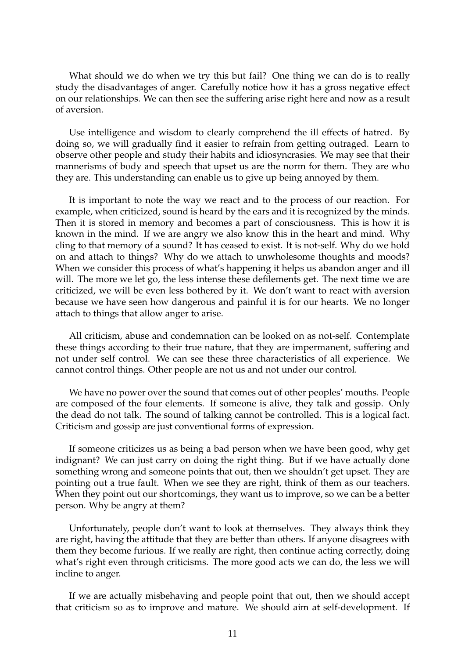What should we do when we try this but fail? One thing we can do is to really study the disadvantages of anger. Carefully notice how it has a gross negative effect on our relationships. We can then see the suffering arise right here and now as a result of aversion.

Use intelligence and wisdom to clearly comprehend the ill effects of hatred. By doing so, we will gradually find it easier to refrain from getting outraged. Learn to observe other people and study their habits and idiosyncrasies. We may see that their mannerisms of body and speech that upset us are the norm for them. They are who they are. This understanding can enable us to give up being annoyed by them.

It is important to note the way we react and to the process of our reaction. For example, when criticized, sound is heard by the ears and it is recognized by the minds. Then it is stored in memory and becomes a part of consciousness. This is how it is known in the mind. If we are angry we also know this in the heart and mind. Why cling to that memory of a sound? It has ceased to exist. It is not-self. Why do we hold on and attach to things? Why do we attach to unwholesome thoughts and moods? When we consider this process of what's happening it helps us abandon anger and ill will. The more we let go, the less intense these defilements get. The next time we are criticized, we will be even less bothered by it. We don't want to react with aversion because we have seen how dangerous and painful it is for our hearts. We no longer attach to things that allow anger to arise.

All criticism, abuse and condemnation can be looked on as not-self. Contemplate these things according to their true nature, that they are impermanent, suffering and not under self control. We can see these three characteristics of all experience. We cannot control things. Other people are not us and not under our control.

We have no power over the sound that comes out of other peoples' mouths. People are composed of the four elements. If someone is alive, they talk and gossip. Only the dead do not talk. The sound of talking cannot be controlled. This is a logical fact. Criticism and gossip are just conventional forms of expression.

If someone criticizes us as being a bad person when we have been good, why get indignant? We can just carry on doing the right thing. But if we have actually done something wrong and someone points that out, then we shouldn't get upset. They are pointing out a true fault. When we see they are right, think of them as our teachers. When they point out our shortcomings, they want us to improve, so we can be a better person. Why be angry at them?

Unfortunately, people don't want to look at themselves. They always think they are right, having the attitude that they are better than others. If anyone disagrees with them they become furious. If we really are right, then continue acting correctly, doing what's right even through criticisms. The more good acts we can do, the less we will incline to anger.

If we are actually misbehaving and people point that out, then we should accept that criticism so as to improve and mature. We should aim at self-development. If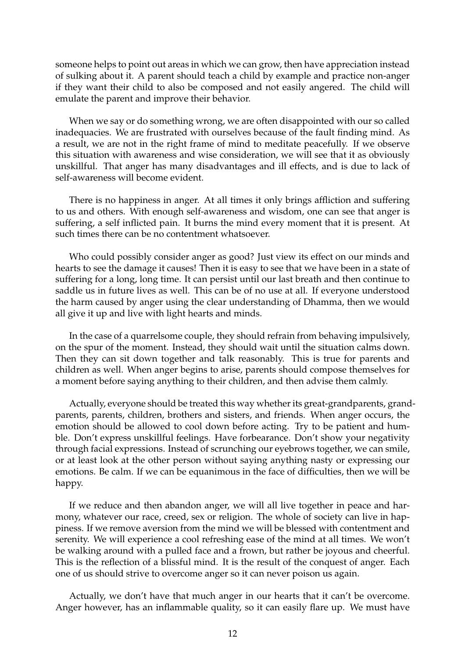someone helps to point out areas in which we can grow, then have appreciation instead of sulking about it. A parent should teach a child by example and practice non-anger if they want their child to also be composed and not easily angered. The child will emulate the parent and improve their behavior.

When we say or do something wrong, we are often disappointed with our so called inadequacies. We are frustrated with ourselves because of the fault finding mind. As a result, we are not in the right frame of mind to meditate peacefully. If we observe this situation with awareness and wise consideration, we will see that it as obviously unskillful. That anger has many disadvantages and ill effects, and is due to lack of self-awareness will become evident.

There is no happiness in anger. At all times it only brings affliction and suffering to us and others. With enough self-awareness and wisdom, one can see that anger is suffering, a self inflicted pain. It burns the mind every moment that it is present. At such times there can be no contentment whatsoever.

Who could possibly consider anger as good? Just view its effect on our minds and hearts to see the damage it causes! Then it is easy to see that we have been in a state of suffering for a long, long time. It can persist until our last breath and then continue to saddle us in future lives as well. This can be of no use at all. If everyone understood the harm caused by anger using the clear understanding of Dhamma, then we would all give it up and live with light hearts and minds.

In the case of a quarrelsome couple, they should refrain from behaving impulsively, on the spur of the moment. Instead, they should wait until the situation calms down. Then they can sit down together and talk reasonably. This is true for parents and children as well. When anger begins to arise, parents should compose themselves for a moment before saying anything to their children, and then advise them calmly.

Actually, everyone should be treated this way whether its great-grandparents, grandparents, parents, children, brothers and sisters, and friends. When anger occurs, the emotion should be allowed to cool down before acting. Try to be patient and humble. Don't express unskillful feelings. Have forbearance. Don't show your negativity through facial expressions. Instead of scrunching our eyebrows together, we can smile, or at least look at the other person without saying anything nasty or expressing our emotions. Be calm. If we can be equanimous in the face of difficulties, then we will be happy.

If we reduce and then abandon anger, we will all live together in peace and harmony, whatever our race, creed, sex or religion. The whole of society can live in happiness. If we remove aversion from the mind we will be blessed with contentment and serenity. We will experience a cool refreshing ease of the mind at all times. We won't be walking around with a pulled face and a frown, but rather be joyous and cheerful. This is the reflection of a blissful mind. It is the result of the conquest of anger. Each one of us should strive to overcome anger so it can never poison us again.

Actually, we don't have that much anger in our hearts that it can't be overcome. Anger however, has an inflammable quality, so it can easily flare up. We must have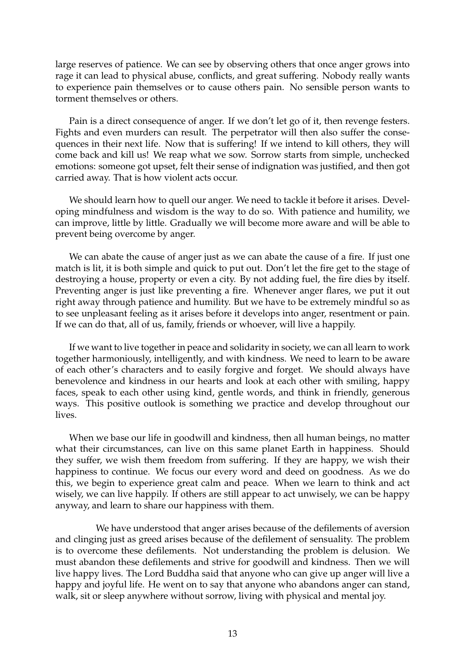large reserves of patience. We can see by observing others that once anger grows into rage it can lead to physical abuse, conflicts, and great suffering. Nobody really wants to experience pain themselves or to cause others pain. No sensible person wants to torment themselves or others.

Pain is a direct consequence of anger. If we don't let go of it, then revenge festers. Fights and even murders can result. The perpetrator will then also suffer the consequences in their next life. Now that is suffering! If we intend to kill others, they will come back and kill us! We reap what we sow. Sorrow starts from simple, unchecked emotions: someone got upset, felt their sense of indignation was justified, and then got carried away. That is how violent acts occur.

We should learn how to quell our anger. We need to tackle it before it arises. Developing mindfulness and wisdom is the way to do so. With patience and humility, we can improve, little by little. Gradually we will become more aware and will be able to prevent being overcome by anger.

We can abate the cause of anger just as we can abate the cause of a fire. If just one match is lit, it is both simple and quick to put out. Don't let the fire get to the stage of destroying a house, property or even a city. By not adding fuel, the fire dies by itself. Preventing anger is just like preventing a fire. Whenever anger flares, we put it out right away through patience and humility. But we have to be extremely mindful so as to see unpleasant feeling as it arises before it develops into anger, resentment or pain. If we can do that, all of us, family, friends or whoever, will live a happily.

If we want to live together in peace and solidarity in society, we can all learn to work together harmoniously, intelligently, and with kindness. We need to learn to be aware of each other's characters and to easily forgive and forget. We should always have benevolence and kindness in our hearts and look at each other with smiling, happy faces, speak to each other using kind, gentle words, and think in friendly, generous ways. This positive outlook is something we practice and develop throughout our lives.

When we base our life in goodwill and kindness, then all human beings, no matter what their circumstances, can live on this same planet Earth in happiness. Should they suffer, we wish them freedom from suffering. If they are happy, we wish their happiness to continue. We focus our every word and deed on goodness. As we do this, we begin to experience great calm and peace. When we learn to think and act wisely, we can live happily. If others are still appear to act unwisely, we can be happy anyway, and learn to share our happiness with them.

We have understood that anger arises because of the defilements of aversion and clinging just as greed arises because of the defilement of sensuality. The problem is to overcome these defilements. Not understanding the problem is delusion. We must abandon these defilements and strive for goodwill and kindness. Then we will live happy lives. The Lord Buddha said that anyone who can give up anger will live a happy and joyful life. He went on to say that anyone who abandons anger can stand, walk, sit or sleep anywhere without sorrow, living with physical and mental joy.